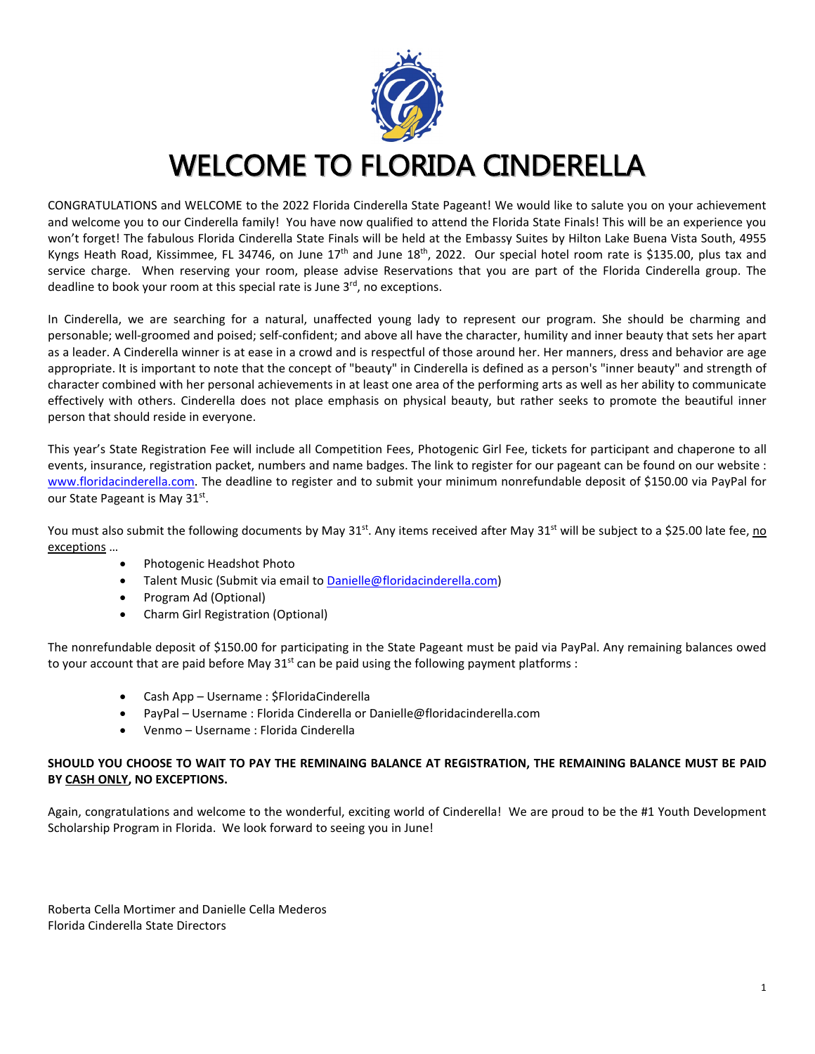

### WELCOME TO FLORIDA CINDERELLA

CONGRATULATIONS and WELCOME to the 2022 Florida Cinderella State Pageant! We would like to salute you on your achievement and welcome you to our Cinderella family! You have now qualified to attend the Florida State Finals! This will be an experience you won't forget! The fabulous Florida Cinderella State Finals will be held at the Embassy Suites by Hilton Lake Buena Vista South, 4955 Kyngs Heath Road, Kissimmee, FL 34746, on June 17<sup>th</sup> and June 18<sup>th</sup>, 2022. Our special hotel room rate is \$135.00, plus tax and service charge. When reserving your room, please advise Reservations that you are part of the Florida Cinderella group. The deadline to book your room at this special rate is June  $3<sup>rd</sup>$ , no exceptions.

In Cinderella, we are searching for a natural, unaffected young lady to represent our program. She should be charming and personable; well-groomed and poised; self-confident; and above all have the character, humility and inner beauty that sets her apart as a leader. A Cinderella winner is at ease in a crowd and is respectful of those around her. Her manners, dress and behavior are age appropriate. It is important to note that the concept of "beauty" in Cinderella is defined as a person's "inner beauty" and strength of character combined with her personal achievements in at least one area of the performing arts as well as her ability to communicate effectively with others. Cinderella does not place emphasis on physical beauty, but rather seeks to promote the beautiful inner person that should reside in everyone.

This year's State Registration Fee will include all Competition Fees, Photogenic Girl Fee, tickets for participant and chaperone to all events, insurance, registration packet, numbers and name badges. The link to register for our pageant can be found on our website : [www.floridacinderella.com.](http://www.floridacinderella.com/) The deadline to register and to submit your minimum nonrefundable deposit of \$150.00 via PayPal for our State Pageant is May 31st.

You must also submit the following documents by May 31<sup>st</sup>. Any items received after May 31<sup>st</sup> will be subject to a \$25.00 late fee, no exceptions …

- Photogenic Headshot Photo
- Talent Music (Submit via email t[o Danielle@floridacinderella.com\)](mailto:Danielle@floridacinderella.com)
- Program Ad (Optional)
- Charm Girl Registration (Optional)

The nonrefundable deposit of \$150.00 for participating in the State Pageant must be paid via PayPal. Any remaining balances owed to your account that are paid before May  $31^{st}$  can be paid using the following payment platforms :

- Cash App Username : \$FloridaCinderella
- PayPal Username : Florida Cinderella or Danielle@floridacinderella.com
- Venmo Username : Florida Cinderella

#### **SHOULD YOU CHOOSE TO WAIT TO PAY THE REMINAING BALANCE AT REGISTRATION, THE REMAINING BALANCE MUST BE PAID BY CASH ONLY, NO EXCEPTIONS.**

Again, congratulations and welcome to the wonderful, exciting world of Cinderella! We are proud to be the #1 Youth Development Scholarship Program in Florida. We look forward to seeing you in June!

Roberta Cella Mortimer and Danielle Cella Mederos Florida Cinderella State Directors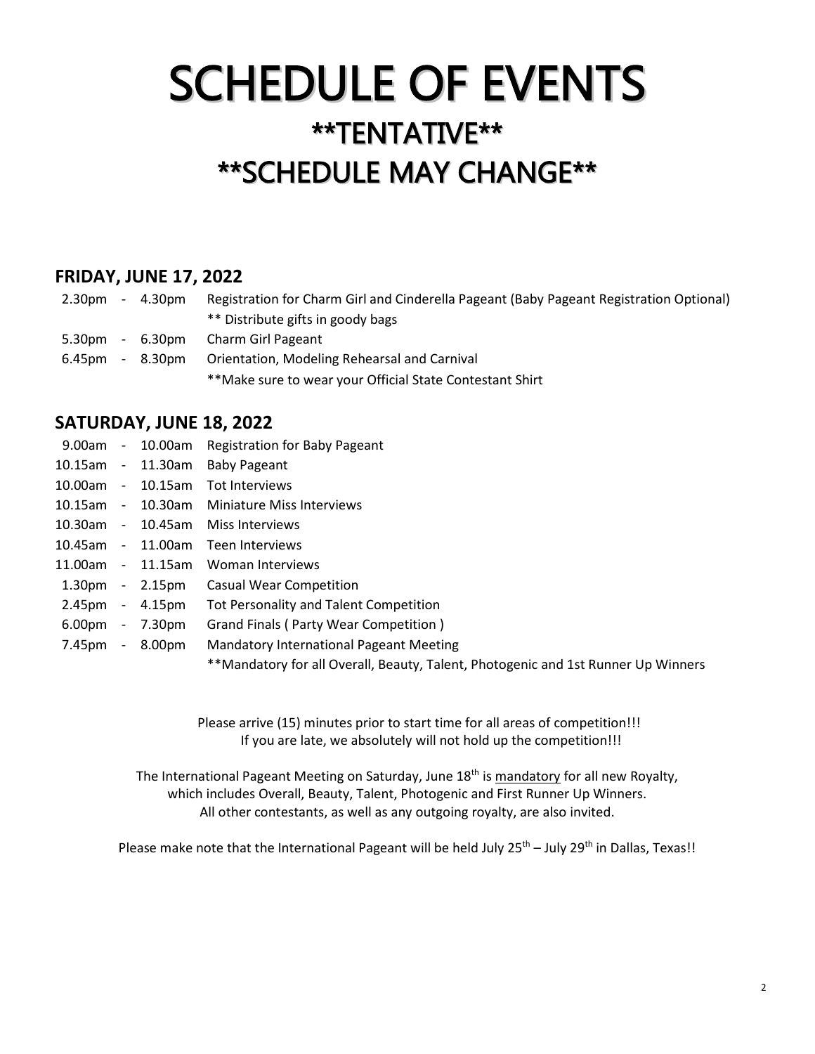# SCHEDULE OF EVENTS \*\*TENTATIVE\*\* \*\*SCHEDULE MAY CHANGE\*\*

### **FRIDAY, JUNE 17, 2022**

| 2.30pm | - 4.30pm | Registration for Charm Girl and Cinderella Pageant (Baby Pageant Registration Optional) |
|--------|----------|-----------------------------------------------------------------------------------------|
|        |          | ** Distribute gifts in goody bags                                                       |
| 5.30pm |          | - 6.30pm Charm Girl Pageant                                                             |
| 6.45pm |          | - 8.30pm Orientation, Modeling Rehearsal and Carnival                                   |
|        |          | **Make sure to wear your Official State Contestant Shirt                                |

### **SATURDAY, JUNE 18, 2022**

| 9.00am                              |                          | - 10.00am         | <b>Registration for Baby Pageant</b>           |
|-------------------------------------|--------------------------|-------------------|------------------------------------------------|
| 10.15am - 11.30am                   |                          |                   | <b>Baby Pageant</b>                            |
| 10.00am                             | $\sim$                   | $10.15$ am        | Tot Interviews                                 |
| 10.15am                             | $\sim$                   | 10.30am           | Miniature Miss Interviews                      |
|                                     |                          |                   | 10.30am - 10.45am Miss Interviews              |
|                                     |                          | 10.45am - 11.00am | Teen Interviews                                |
| 11.00am - 11.15am                   |                          |                   | Woman Interviews                               |
| $1.30pm - 2.15pm$                   |                          |                   | <b>Casual Wear Competition</b>                 |
| $2.45 \text{pm}$ - $4.15 \text{pm}$ |                          |                   | Tot Personality and Talent Competition         |
| 6.00pm                              |                          | $-7.30pm$         | Grand Finals (Party Wear Competition)          |
| 7.45pm                              | $\overline{\phantom{a}}$ | 8.00pm            | <b>Mandatory International Pageant Meeting</b> |

\*\*Mandatory for all Overall, Beauty, Talent, Photogenic and 1st Runner Up Winners

Please arrive (15) minutes prior to start time for all areas of competition!!! If you are late, we absolutely will not hold up the competition!!!

The International Pageant Meeting on Saturday, June 18<sup>th</sup> is mandatory for all new Royalty, which includes Overall, Beauty, Talent, Photogenic and First Runner Up Winners. All other contestants, as well as any outgoing royalty, are also invited.

Please make note that the International Pageant will be held July 25<sup>th</sup> – July 29<sup>th</sup> in Dallas, Texas!!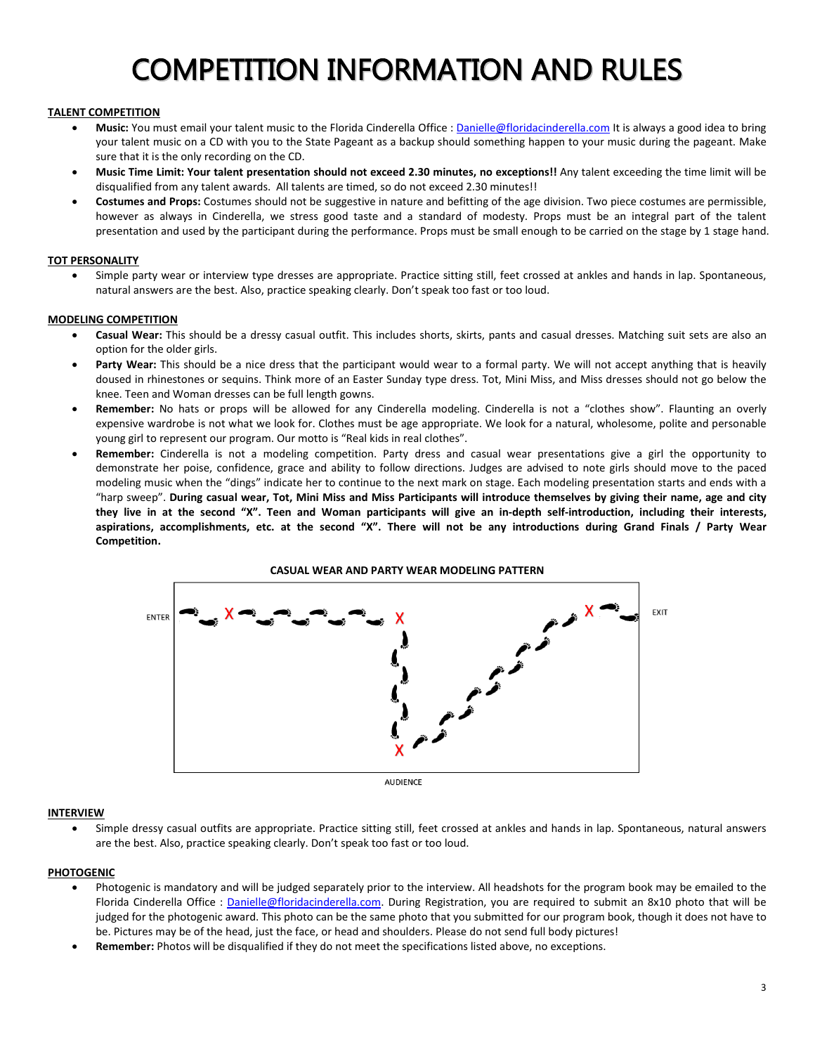## COMPETITION INFORMATION AND RULES

#### **TALENT COMPETITION**

- **Music:** You must email your talent music to the Florida Cinderella Office : [Danielle@floridacinderella.com I](mailto:Danielle@floridacinderella.com)t is always a good idea to bring your talent music on a CD with you to the State Pageant as a backup should something happen to your music during the pageant. Make sure that it is the only recording on the CD.
- **Music Time Limit: Your talent presentation should not exceed 2.30 minutes, no exceptions!!** Any talent exceeding the time limit will be disqualified from any talent awards. All talents are timed, so do not exceed 2.30 minutes!!
- **Costumes and Props:** Costumes should not be suggestive in nature and befitting of the age division. Two piece costumes are permissible, however as always in Cinderella, we stress good taste and a standard of modesty. Props must be an integral part of the talent presentation and used by the participant during the performance. Props must be small enough to be carried on the stage by 1 stage hand.

#### **TOT PERSONALITY**

• Simple party wear or interview type dresses are appropriate. Practice sitting still, feet crossed at ankles and hands in lap. Spontaneous, natural answers are the best. Also, practice speaking clearly. Don't speak too fast or too loud.

#### **MODELING COMPETITION**

- **Casual Wear:** This should be a dressy casual outfit. This includes shorts, skirts, pants and casual dresses. Matching suit sets are also an option for the older girls.
- Party Wear: This should be a nice dress that the participant would wear to a formal party. We will not accept anything that is heavily doused in rhinestones or sequins. Think more of an Easter Sunday type dress. Tot, Mini Miss, and Miss dresses should not go below the knee. Teen and Woman dresses can be full length gowns.
- **Remember:** No hats or props will be allowed for any Cinderella modeling. Cinderella is not a "clothes show". Flaunting an overly expensive wardrobe is not what we look for. Clothes must be age appropriate. We look for a natural, wholesome, polite and personable young girl to represent our program. Our motto is "Real kids in real clothes".
- **Remember:** Cinderella is not a modeling competition. Party dress and casual wear presentations give a girl the opportunity to demonstrate her poise, confidence, grace and ability to follow directions. Judges are advised to note girls should move to the paced modeling music when the "dings" indicate her to continue to the next mark on stage. Each modeling presentation starts and ends with a "harp sweep". **During casual wear, Tot, Mini Miss and Miss Participants will introduce themselves by giving their name, age and city they live in at the second "X". Teen and Woman participants will give an in-depth self-introduction, including their interests, aspirations, accomplishments, etc. at the second "X". There will not be any introductions during Grand Finals / Party Wear Competition.**



#### **INTERVIEW**

• Simple dressy casual outfits are appropriate. Practice sitting still, feet crossed at ankles and hands in lap. Spontaneous, natural answers are the best. Also, practice speaking clearly. Don't speak too fast or too loud.

#### **PHOTOGENIC**

- Photogenic is mandatory and will be judged separately prior to the interview. All headshots for the program book may be emailed to the Florida Cinderella Office : [Danielle@floridacinderella.com.](mailto:Danielle@floridacinderella.com) During Registration, you are required to submit an 8x10 photo that will be judged for the photogenic award. This photo can be the same photo that you submitted for our program book, though it does not have to be. Pictures may be of the head, just the face, or head and shoulders. Please do not send full body pictures!
- **Remember:** Photos will be disqualified if they do not meet the specifications listed above, no exceptions.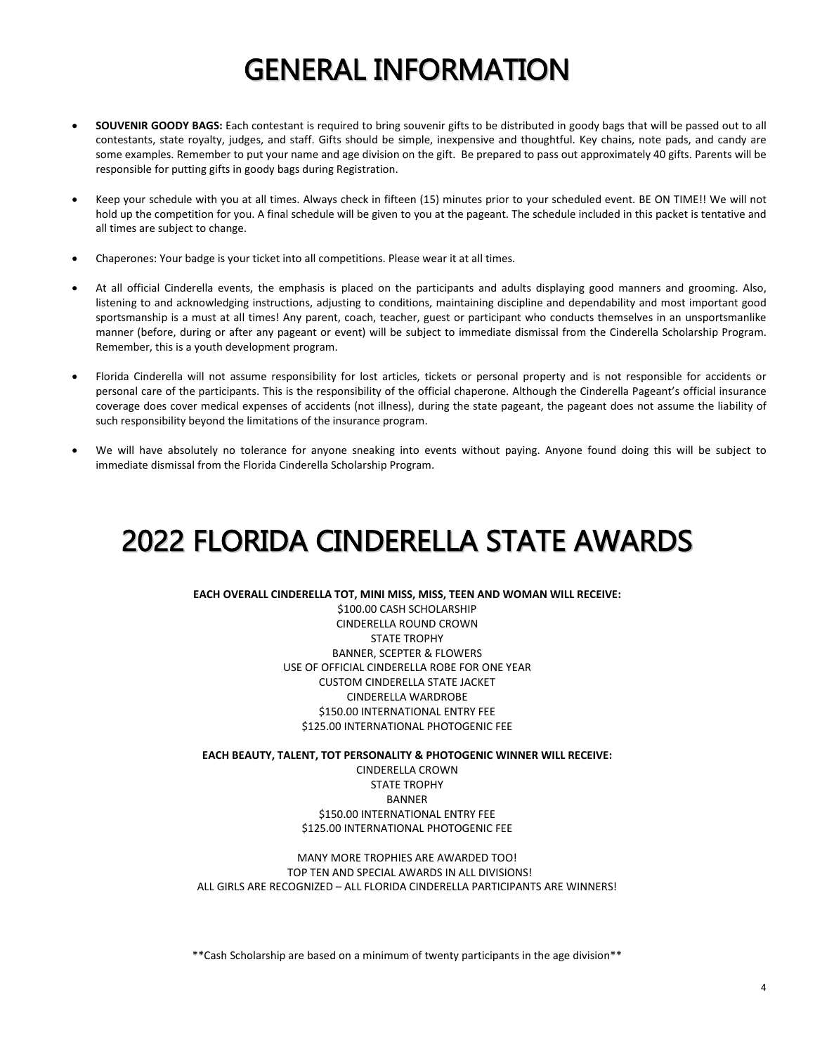## GENERAL INFORMATION

- **SOUVENIR GOODY BAGS:** Each contestant is required to bring souvenir gifts to be distributed in goody bags that will be passed out to all contestants, state royalty, judges, and staff. Gifts should be simple, inexpensive and thoughtful. Key chains, note pads, and candy are some examples. Remember to put your name and age division on the gift. Be prepared to pass out approximately 40 gifts. Parents will be responsible for putting gifts in goody bags during Registration.
- Keep your schedule with you at all times. Always check in fifteen (15) minutes prior to your scheduled event. BE ON TIME!! We will not hold up the competition for you. A final schedule will be given to you at the pageant. The schedule included in this packet is tentative and all times are subject to change.
- Chaperones: Your badge is your ticket into all competitions. Please wear it at all times.
- At all official Cinderella events, the emphasis is placed on the participants and adults displaying good manners and grooming. Also, listening to and acknowledging instructions, adjusting to conditions, maintaining discipline and dependability and most important good sportsmanship is a must at all times! Any parent, coach, teacher, guest or participant who conducts themselves in an unsportsmanlike manner (before, during or after any pageant or event) will be subject to immediate dismissal from the Cinderella Scholarship Program. Remember, this is a youth development program.
- Florida Cinderella will not assume responsibility for lost articles, tickets or personal property and is not responsible for accidents or personal care of the participants. This is the responsibility of the official chaperone. Although the Cinderella Pageant's official insurance coverage does cover medical expenses of accidents (not illness), during the state pageant, the pageant does not assume the liability of such responsibility beyond the limitations of the insurance program.
- We will have absolutely no tolerance for anyone sneaking into events without paying. Anyone found doing this will be subject to immediate dismissal from the Florida Cinderella Scholarship Program.

### 2022 FLORIDA CINDERELLA STATE AWARDS

#### **EACH OVERALL CINDERELLA TOT, MINI MISS, MISS, TEEN AND WOMAN WILL RECEIVE:**

\$100.00 CASH SCHOLARSHIP CINDERELLA ROUND CROWN STATE TROPHY BANNER, SCEPTER & FLOWERS USE OF OFFICIAL CINDERELLA ROBE FOR ONE YEAR CUSTOM CINDERELLA STATE JACKET CINDERELLA WARDROBE \$150.00 INTERNATIONAL ENTRY FEE \$125.00 INTERNATIONAL PHOTOGENIC FEE

**EACH BEAUTY, TALENT, TOT PERSONALITY & PHOTOGENIC WINNER WILL RECEIVE:**

CINDERELLA CROWN STATE TROPHY BANNER \$150.00 INTERNATIONAL ENTRY FEE \$125.00 INTERNATIONAL PHOTOGENIC FEE

MANY MORE TROPHIES ARE AWARDED TOO! TOP TEN AND SPECIAL AWARDS IN ALL DIVISIONS! ALL GIRLS ARE RECOGNIZED – ALL FLORIDA CINDERELLA PARTICIPANTS ARE WINNERS!

\*\*Cash Scholarship are based on a minimum of twenty participants in the age division\*\*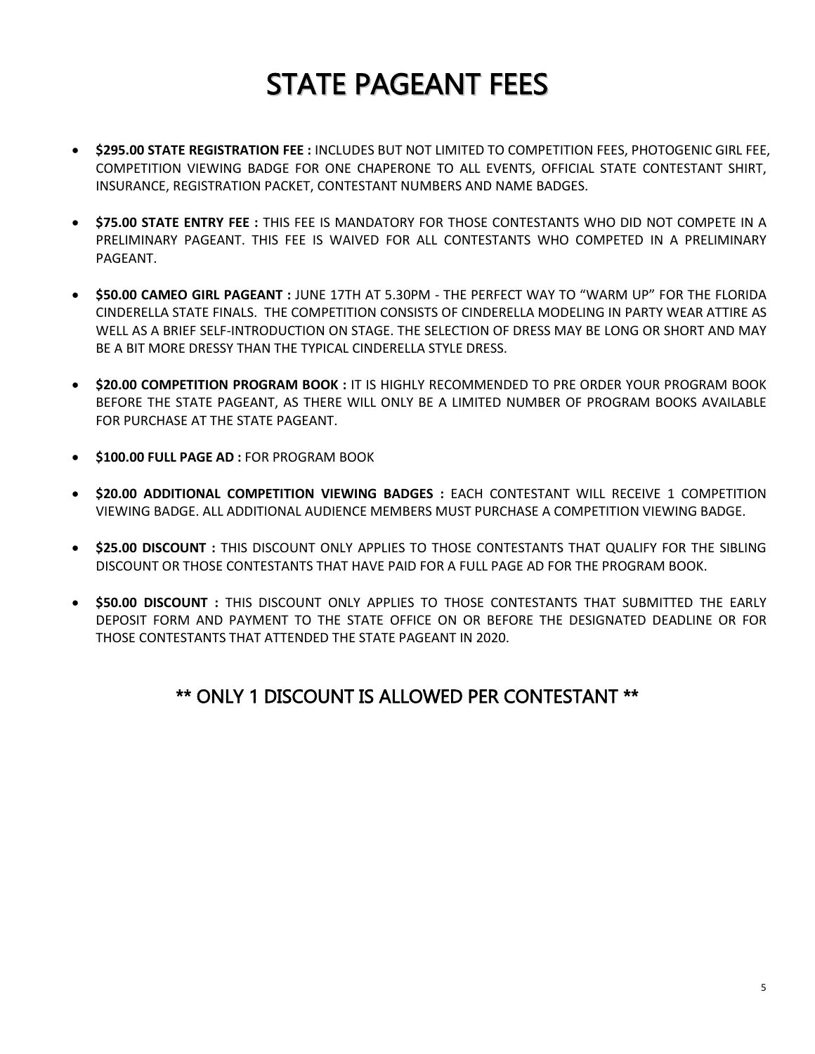## STATE PAGEANT FEES

- **\$295.00 STATE REGISTRATION FEE :** INCLUDES BUT NOT LIMITED TO COMPETITION FEES, PHOTOGENIC GIRL FEE, COMPETITION VIEWING BADGE FOR ONE CHAPERONE TO ALL EVENTS, OFFICIAL STATE CONTESTANT SHIRT, INSURANCE, REGISTRATION PACKET, CONTESTANT NUMBERS AND NAME BADGES.
- **\$75.00 STATE ENTRY FEE :** THIS FEE IS MANDATORY FOR THOSE CONTESTANTS WHO DID NOT COMPETE IN A PRELIMINARY PAGEANT. THIS FEE IS WAIVED FOR ALL CONTESTANTS WHO COMPETED IN A PRELIMINARY PAGEANT.
- **\$50.00 CAMEO GIRL PAGEANT :** JUNE 17TH AT 5.30PM THE PERFECT WAY TO "WARM UP" FOR THE FLORIDA CINDERELLA STATE FINALS. THE COMPETITION CONSISTS OF CINDERELLA MODELING IN PARTY WEAR ATTIRE AS WELL AS A BRIEF SELF-INTRODUCTION ON STAGE. THE SELECTION OF DRESS MAY BE LONG OR SHORT AND MAY BE A BIT MORE DRESSY THAN THE TYPICAL CINDERELLA STYLE DRESS.
- **\$20.00 COMPETITION PROGRAM BOOK :** IT IS HIGHLY RECOMMENDED TO PRE ORDER YOUR PROGRAM BOOK BEFORE THE STATE PAGEANT, AS THERE WILL ONLY BE A LIMITED NUMBER OF PROGRAM BOOKS AVAILABLE FOR PURCHASE AT THE STATE PAGEANT.
- **\$100.00 FULL PAGE AD :** FOR PROGRAM BOOK
- **\$20.00 ADDITIONAL COMPETITION VIEWING BADGES :** EACH CONTESTANT WILL RECEIVE 1 COMPETITION VIEWING BADGE. ALL ADDITIONAL AUDIENCE MEMBERS MUST PURCHASE A COMPETITION VIEWING BADGE.
- **\$25.00 DISCOUNT :** THIS DISCOUNT ONLY APPLIES TO THOSE CONTESTANTS THAT QUALIFY FOR THE SIBLING DISCOUNT OR THOSE CONTESTANTS THAT HAVE PAID FOR A FULL PAGE AD FOR THE PROGRAM BOOK.
- **\$50.00 DISCOUNT :** THIS DISCOUNT ONLY APPLIES TO THOSE CONTESTANTS THAT SUBMITTED THE EARLY DEPOSIT FORM AND PAYMENT TO THE STATE OFFICE ON OR BEFORE THE DESIGNATED DEADLINE OR FOR THOSE CONTESTANTS THAT ATTENDED THE STATE PAGEANT IN 2020.

### \*\* ONLY 1 DISCOUNT IS ALLOWED PER CONTESTANT \*\*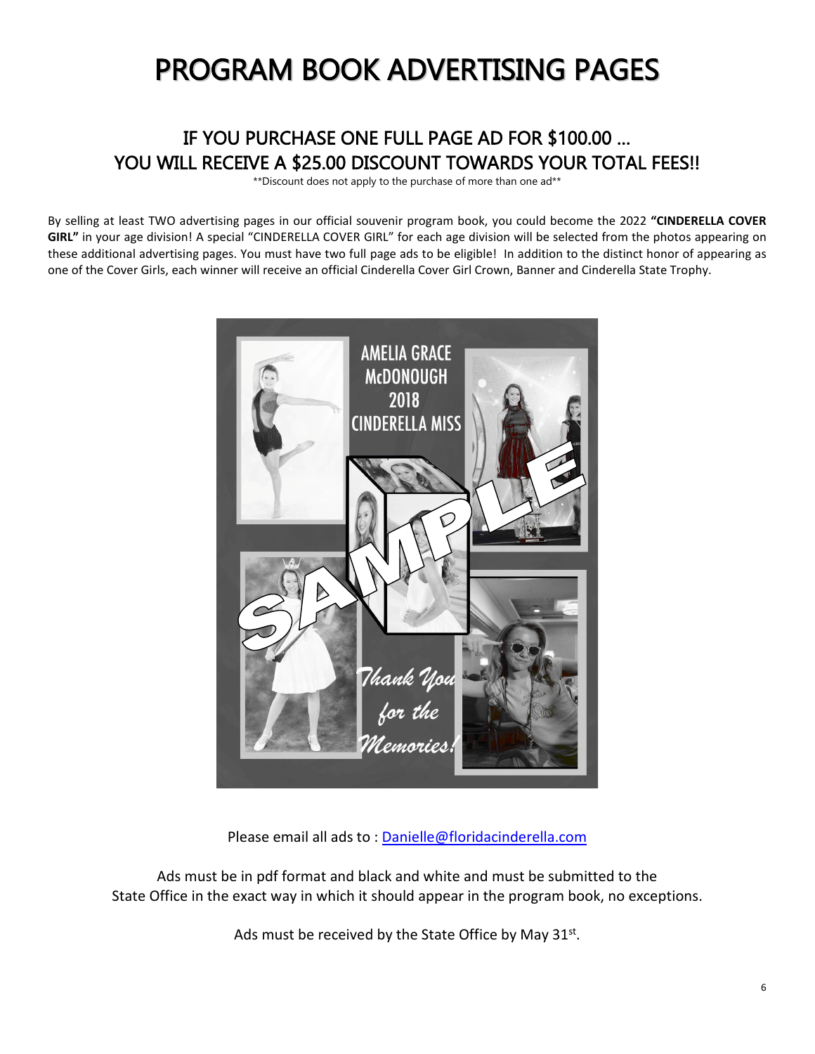### PROGRAM BOOK ADVERTISING PAGES

### IF YOU PURCHASE ONE FULL PAGE AD FOR \$100.00 … YOU WILL RECEIVE A \$25.00 DISCOUNT TOWARDS YOUR TOTAL FEES!!<br>\*\*Discount does not apply to the purchase of more than one ad\*\*

By selling at least TWO advertising pages in our official souvenir program book, you could become the 2022 **"CINDERELLA COVER GIRL"** in your age division! A special "CINDERELLA COVER GIRL" for each age division will be selected from the photos appearing on these additional advertising pages. You must have two full page ads to be eligible! In addition to the distinct honor of appearing as one of the Cover Girls, each winner will receive an official Cinderella Cover Girl Crown, Banner and Cinderella State Trophy.



Please email all ads to : [Danielle@floridacinderella.com](mailto:Danielle@floridacinderella.com) 

Ads must be in pdf format and black and white and must be submitted to the State Office in the exact way in which it should appear in the program book, no exceptions.

Ads must be received by the State Office by May  $31^{st}$ .